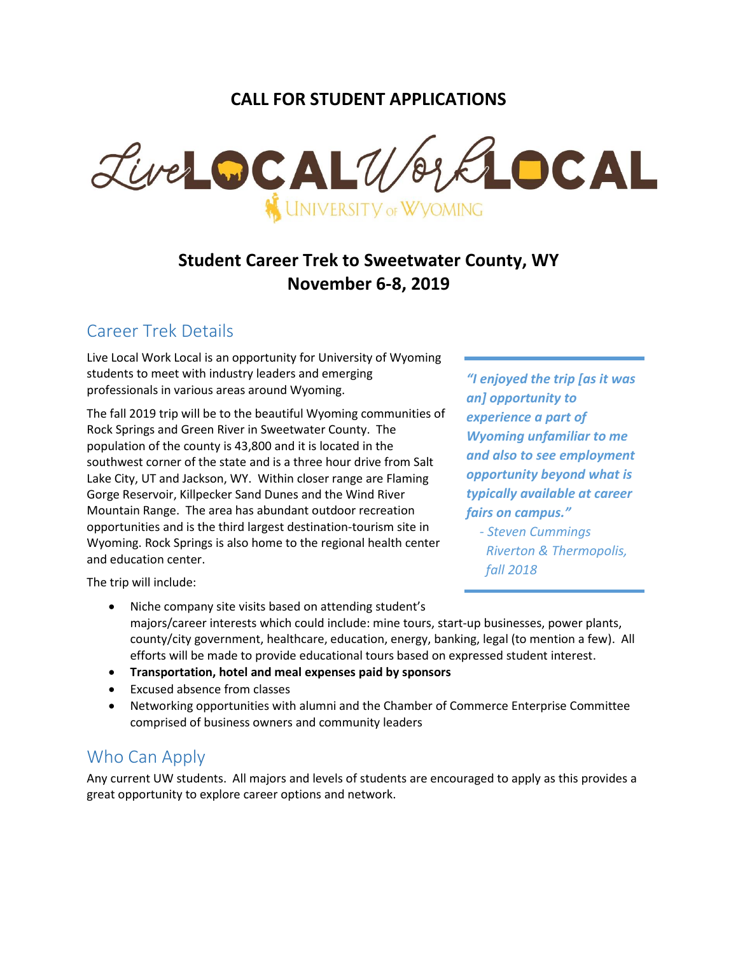## **CALL FOR STUDENT APPLICATIONS**



# **Student Career Trek to Sweetwater County, WY November 6-8, 2019**

## Career Trek Details

Live Local Work Local is an opportunity for University of Wyoming students to meet with industry leaders and emerging professionals in various areas around Wyoming.

The fall 2019 trip will be to the beautiful Wyoming communities of Rock Springs and Green River in Sweetwater County. The population of the county is 43,800 and it is located in the southwest corner of the state and is a three hour drive from Salt Lake City, UT and Jackson, WY. Within closer range are Flaming Gorge Reservoir, Killpecker Sand Dunes and the Wind River Mountain Range. The area has abundant outdoor recreation opportunities and is the third largest destination-tourism site in Wyoming. Rock Springs is also home to the regional health center and education center.

*"I enjoyed the trip [as it was an] opportunity to experience a part of Wyoming unfamiliar to me and also to see employment opportunity beyond what is typically available at career fairs on campus."*

 *- Steven Cummings Riverton & Thermopolis, fall 2018*

The trip will include:

- Niche company site visits based on attending student's majors/career interests which could include: mine tours, start-up businesses, power plants, county/city government, healthcare, education, energy, banking, legal (to mention a few). All efforts will be made to provide educational tours based on expressed student interest.
- **Transportation, hotel and meal expenses paid by sponsors**
- Excused absence from classes
- Networking opportunities with alumni and the Chamber of Commerce Enterprise Committee comprised of business owners and community leaders

## Who Can Apply

Any current UW students. All majors and levels of students are encouraged to apply as this provides a great opportunity to explore career options and network.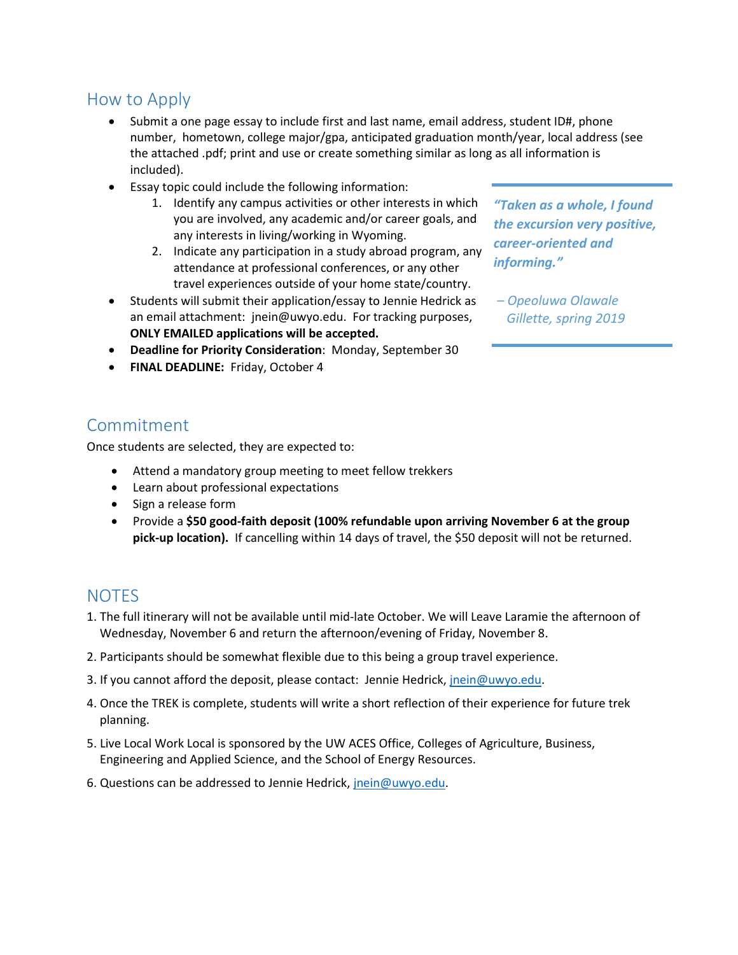## How to Apply

- Submit a one page essay to include first and last name, email address, student ID#, phone number, hometown, college major/gpa, anticipated graduation month/year, local address (see the attached .pdf; print and use or create something similar as long as all information is included).
- Essay topic could include the following information:
	- 1. Identify any campus activities or other interests in which you are involved, any academic and/or career goals, and any interests in living/working in Wyoming.
	- 2. Indicate any participation in a study abroad program, any attendance at professional conferences, or any other travel experiences outside of your home state/country.
- Students will submit their application/essay to Jennie Hedrick as an email attachment: jnein@uwyo.edu. For tracking purposes, **ONLY EMAILED applications will be accepted.**
- **Deadline for Priority Consideration**: Monday, September 30
- **FINAL DEADLINE:** Friday, October 4

*"Taken as a whole, I found the excursion very positive, career-oriented and informing."*

*– Opeoluwa Olawale Gillette, spring 2019*

### Commitment

Once students are selected, they are expected to:

- Attend a mandatory group meeting to meet fellow trekkers
- Learn about professional expectations
- Sign a release form
- Provide a **\$50 good-faith deposit (100% refundable upon arriving November 6 at the group pick-up location).** If cancelling within 14 days of travel, the \$50 deposit will not be returned.

#### **NOTES**

- 1. The full itinerary will not be available until mid-late October. We will Leave Laramie the afternoon of Wednesday, November 6 and return the afternoon/evening of Friday, November 8.
- 2. Participants should be somewhat flexible due to this being a group travel experience.
- 3. If you cannot afford the deposit, please contact: Jennie Hedrick, [jnein@uwyo.edu.](mailto:jnein@uwyo.edu)
- 4. Once the TREK is complete, students will write a short reflection of their experience for future trek planning.
- 5. Live Local Work Local is sponsored by the UW ACES Office, Colleges of Agriculture, Business, Engineering and Applied Science, and the School of Energy Resources.
- 6. Questions can be addressed to Jennie Hedrick, [jnein@uwyo.edu.](mailto:jnein@uwyo.edu)